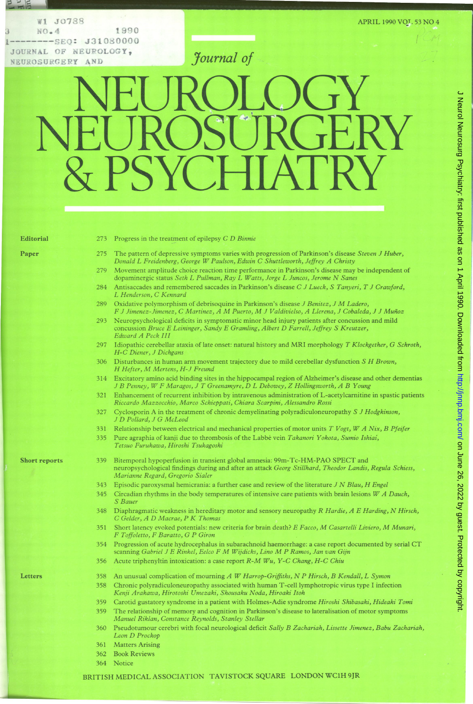W1 J0788 APRIL 1990 VOT 53 NO 4 WI JO788<br>
WI JO788<br>
NO.4 1990<br>
OURNAL OF NEUROLOGY,<br>
EUROSURGERY AND<br>
TOUTAL OF NEUROLOGY,<br>
FUROSURGERY AND JOURNAL OF NEUROLOGY, **HEUROLOGY**, **HEUROSURGERY** AND NEUROSURGERY AND

-- lm

## NEUROLOGY NEUROSURGERY PSYC

 $-$ 

- Editorial 273 Progress in the treatment of epilepsy C D Binnie
- Paper 275 The pattern of depressive symptoms varies with progression of Parkinson's disease Steven J Huber, Donald <sup>L</sup> Freidenberg, George W Paulson, Edwin C Shuttleworth, Jeffrey A Christy
	- 279 Movement amplitude choice reaction time performance in Parkinson's disease may be independent of dopaminergic status Seth L Pullman, Ray L Watts, Jorge L Juncos, Jerome N Sanes
	- 284 Antisaccades and remembered saccades in Parkinson's disease C J Lueck, S Tanyeri, T J Crawford, L Henderson, C Kennard
	- 289 Oxidative polymorphism of debrisoquine in Parkinson's disease J Benitez, J M Ladero, <sup>F</sup> <sup>J</sup> Jimenez-Jimenez, <sup>C</sup> Martinez, <sup>A</sup> M Puerto, M <sup>J</sup> Valdivielso, <sup>A</sup> Llerena, <sup>J</sup> Cobaleda, J J Mufnoz
	- 293 Neuropsychological deficits in symptomatic minor head injury patients after concussion and mild concussion Bruce E Leininger, Sandy E Gramling, Albert D Farrell, Jeffrey S Kreutzer, Edward A Peck III
	- 297 Idiopathic cerebellar ataxia of late onset: natural history and MRI morphology T Klockgether, G Schroth, H-C Diener, J Dichgans
	- 306 Disturbances in human arm movement trajectory due to mild cerebellar dysfunction  $S$  H Brown, H Hefter, M Mertens, H-J Freund
	- 314 Excitatory amino acid binding sites in the hippocampal region of Alzheimer's disease and other dementias <sup>J</sup> B Penney, W F Maragos, <sup>J</sup> <sup>T</sup> Greenamyre, D <sup>L</sup> Debowey, Z Hollingsworth, A B Young
	- 321 Enhancement of recurrent inhibition by intravenous administration of L-acetylcamitine in spastic patients Riccardo Mazzocchio, Marco Schieppati, Chiara Scarpini, Alessandro Rossi
	- 327 Cyclosporin A in the treatment of chronic demyelinating polyradiculoneuropathy S J Hodgkinson, <sup>J</sup> D Pollard, <sup>J</sup> G McLeod
	- 331 Relationship between electrical and mechanical properties of motor units  $T Vogt$ ,  $W A Nix$ , B Pfeifer
	- 335 Pure agraphia of kanji due to thrombosis of the Labbé vein Takanori Yokota, Sumio Ishiai, Tetsuo Furukawa, Hiroshi Tsukagoshi

- Short reports 339 Bitemporal hypoperfusion in transient global amnesia: 99m-Tc-HM-PAO SPECT and neuropsychological findings during and after an attack Georg Stillhard, Theodor Landis, Regula Schiess, Marianne Regard, Gregorio Sialer
	- 343 Episodic paroxysmal hemicrania: a further case and review of the literature J N Blau, H Engel
	- 345 Circadian rhythms in the body temperatures of intensive care patients with brain lesions  $W$  A Dauch, S Bauer
	- 348 Diaphragmatic weakness in hereditary motor and sensory neuropathy R Hardie, A E Harding, N Hirsch, C Gelder, A D Macrae, P K Thomas
	- 351 Short latency evoked potentials: new criteria for brain death? E Facco, M Casartelli Liviero, M Munari, F Toffoletto, F Baratto, G P Giron
	- <sup>354</sup> Progression of acute hydrocephalus in subarachnoid haemorrhage: <sup>a</sup> case report documented by serial CT scanning Gabriel <sup>J</sup> <sup>E</sup> Rinkel, Eelco <sup>F</sup> M Wijdicks, Lino M <sup>P</sup> Ramos, Jan van Gijn
	- <sup>356</sup> Acute triphenyltin intoxication: <sup>a</sup> case report R-M Wu, Y-C Chang, H-C Chiu

- Letters 358 An unusual complication of mourning A W Harrop-Griffiths, N P Hirsch, B Kendall, L Symon
	- 358 Chronic polyradiculoneuropathy associated with human T-cell lymphotropic virus type <sup>I</sup> infection Kenji Arakawa, Hirotoshi Umezaki, Shousaku Noda, Hiroaki Itoh
	- 359 Carotid gustatory syndrome in a patient with Holmes-Adie syndrome Hiroshi Shibasaki, Hideaki Tomi
	- 359 The relationship of memory and cognition in Parkinson's disease to lateralisation of motor symptoms Manuel Riklan, Constance Reynolds, Stanley Stellar
	- 360 Pseudotumour cerebri with focal neurological deficit Sally B Zachariah, Lissette Jimenez, Babu Zachariah, Leon D Prockop
	- 361 Matters Arising
	- 362 Book Reviews
	- 364 Notice